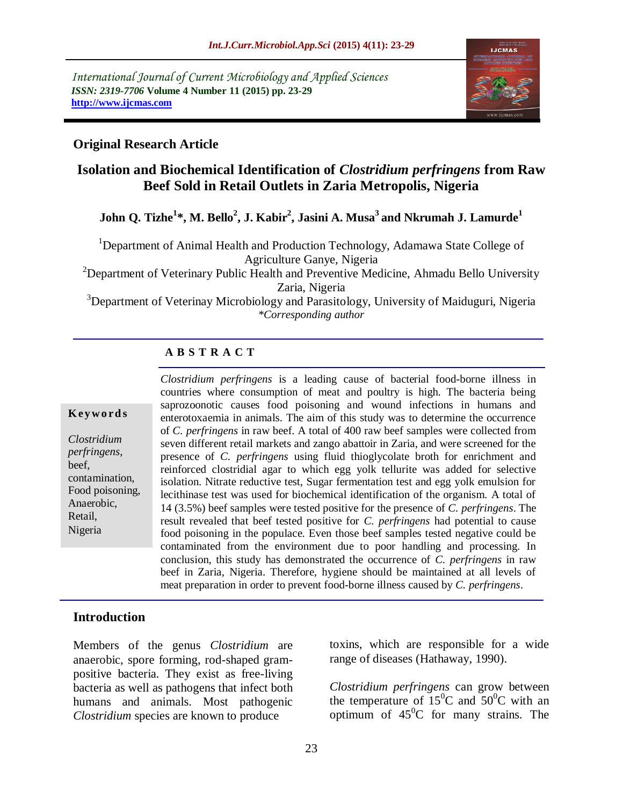

#### **Original Research Article**

# **Isolation and Biochemical Identification of** *Clostridium perfringens* **from Raw Beef Sold in Retail Outlets in Zaria Metropolis, Nigeria**

**John Q. Tizhe<sup>1</sup> \*, M. Bello<sup>2</sup> , J. Kabir<sup>2</sup> , Jasini A. Musa<sup>3</sup>and Nkrumah J. Lamurde<sup>1</sup>**

<sup>1</sup>Department of Animal Health and Production Technology, Adamawa State College of Agriculture Ganye, Nigeria

<sup>2</sup>Department of Veterinary Public Health and Preventive Medicine, Ahmadu Bello University Zaria, Nigeria

<sup>3</sup>Department of Veterinay Microbiology and Parasitology, University of Maiduguri, Nigeria *\*Corresponding author*

### **A B S T R A C T**

#### **K ey w o rd s**

*Clostridium perfringens*, beef, contamination, Food poisoning, Anaerobic, Retail, Nigeria

*Clostridium perfringens* is a leading cause of bacterial food-borne illness in countries where consumption of meat and poultry is high. The bacteria being saprozoonotic causes food poisoning and wound infections in humans and enterotoxaemia in animals. The aim of this study was to determine the occurrence of *C. perfringens* in raw beef. A total of 400 raw beef samples were collected from seven different retail markets and zango abattoir in Zaria, and were screened for the presence of *C. perfringens* using fluid thioglycolate broth for enrichment and reinforced clostridial agar to which egg yolk tellurite was added for selective isolation. Nitrate reductive test, Sugar fermentation test and egg yolk emulsion for lecithinase test was used for biochemical identification of the organism. A total of 14 (3.5%) beef samples were tested positive for the presence of *C. perfringens*. The result revealed that beef tested positive for *C. perfringens* had potential to cause food poisoning in the populace. Even those beef samples tested negative could be contaminated from the environment due to poor handling and processing. In conclusion, this study has demonstrated the occurrence of *C. perfringens* in raw beef in Zaria, Nigeria. Therefore, hygiene should be maintained at all levels of meat preparation in order to prevent food-borne illness caused by *C. perfringens*.

#### **Introduction**

Members of the genus *Clostridium* are anaerobic, spore forming, rod-shaped grampositive bacteria. They exist as free-living bacteria as well as pathogens that infect both humans and animals. Most pathogenic *Clostridium* species are known to produce

toxins, which are responsible for a wide range of diseases (Hathaway, 1990).

*Clostridium perfringens* can grow between the temperature of  $15^{\circ}$ C and  $50^{\circ}$ C with an optimum of  $45^{\circ}$ C for many strains. The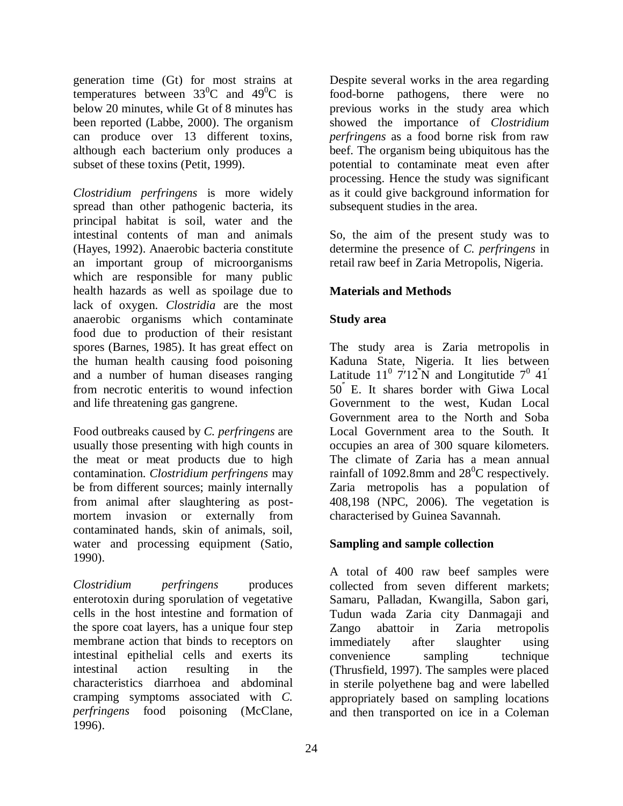generation time (Gt) for most strains at temperatures between  $33^0C$  and  $49^0C$  is below 20 minutes, while Gt of 8 minutes has been reported (Labbe, 2000). The organism can produce over 13 different toxins, although each bacterium only produces a subset of these toxins (Petit, 1999).

*Clostridium perfringens* is more widely spread than other pathogenic bacteria, its principal habitat is soil, water and the intestinal contents of man and animals (Hayes, 1992). Anaerobic bacteria constitute an important group of microorganisms which are responsible for many public health hazards as well as spoilage due to lack of oxygen. *Clostridia* are the most anaerobic organisms which contaminate food due to production of their resistant spores (Barnes, 1985). It has great effect on the human health causing food poisoning and a number of human diseases ranging from necrotic enteritis to wound infection and life threatening gas gangrene.

Food outbreaks caused by *C. perfringens* are usually those presenting with high counts in the meat or meat products due to high contamination. *Clostridium perfringens* may be from different sources; mainly internally from animal after slaughtering as postmortem invasion or externally from contaminated hands, skin of animals, soil, water and processing equipment (Satio, 1990).

*Clostridium perfringens* produces enterotoxin during sporulation of vegetative cells in the host intestine and formation of the spore coat layers, has a unique four step membrane action that binds to receptors on intestinal epithelial cells and exerts its intestinal action resulting in the characteristics diarrhoea and abdominal cramping symptoms associated with *C. perfringens* food poisoning (McClane, 1996).

Despite several works in the area regarding food-borne pathogens, there were no previous works in the study area which showed the importance of *Clostridium perfringens* as a food borne risk from raw beef. The organism being ubiquitous has the potential to contaminate meat even after processing. Hence the study was significant as it could give background information for subsequent studies in the area.

So, the aim of the present study was to determine the presence of *C. perfringens* in retail raw beef in Zaria Metropolis, Nigeria.

## **Materials and Methods**

### **Study area**

The study area is Zaria metropolis in Kaduna State, Nigeria. It lies between Latitude  $11^{\circ}$  7'12<sup>"</sup>N and Longitutide 7<sup>0</sup> 41<sup>'</sup> ̍  $50<sup>′</sup>$  E. It shares border with Giwa Local Government to the west, Kudan Local Government area to the North and Soba Local Government area to the South. It occupies an area of 300 square kilometers. The climate of Zaria has a mean annual rainfall of 1092.8mm and  $28^{\circ}$ C respectively. Zaria metropolis has a population of 408,198 (NPC, 2006). The vegetation is characterised by Guinea Savannah.

### **Sampling and sample collection**

A total of 400 raw beef samples were collected from seven different markets; Samaru, Palladan, Kwangilla, Sabon gari, Tudun wada Zaria city Danmagaji and Zango abattoir in Zaria metropolis immediately after slaughter using convenience sampling technique (Thrusfield, 1997). The samples were placed in sterile polyethene bag and were labelled appropriately based on sampling locations and then transported on ice in a Coleman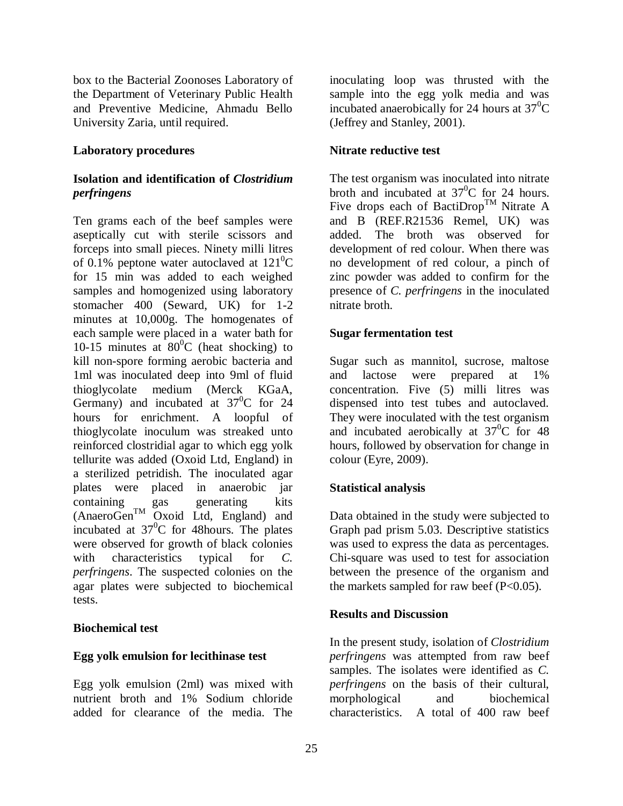box to the Bacterial Zoonoses Laboratory of the Department of Veterinary Public Health and Preventive Medicine, Ahmadu Bello University Zaria, until required.

#### **Laboratory procedures**

### **Isolation and identification of** *Clostridium perfringens*

Ten grams each of the beef samples were aseptically cut with sterile scissors and forceps into small pieces. Ninety milli litres of 0.1% peptone water autoclaved at  $121^{\circ}$ C for 15 min was added to each weighed samples and homogenized using laboratory stomacher 400 (Seward, UK) for 1-2 minutes at 10,000g. The homogenates of each sample were placed in a water bath for 10-15 minutes at  $80^{\circ}$ C (heat shocking) to kill non-spore forming aerobic bacteria and 1ml was inoculated deep into 9ml of fluid thioglycolate medium (Merck KGaA, Germany) and incubated at  $37^{\circ}$ C for 24 hours for enrichment. A loopful of thioglycolate inoculum was streaked unto reinforced clostridial agar to which egg yolk tellurite was added (Oxoid Ltd, England) in a sterilized petridish. The inoculated agar plates were placed in anaerobic jar containing gas generating kits  $(AnaeroGen<sup>TM</sup>$  Oxoid Ltd, England) and incubated at  $37^0C$  for 48 hours. The plates were observed for growth of black colonies with characteristics typical for *C*. *perfringens*. The suspected colonies on the agar plates were subjected to biochemical tests.

#### **Biochemical test**

#### **Egg yolk emulsion for lecithinase test**

Egg yolk emulsion (2ml) was mixed with nutrient broth and 1% Sodium chloride added for clearance of the media. The

inoculating loop was thrusted with the sample into the egg yolk media and was incubated anaerobically for 24 hours at  $37^{\circ}$ C (Jeffrey and Stanley, 2001).

### **Nitrate reductive test**

The test organism was inoculated into nitrate broth and incubated at  $37^0$ C for 24 hours. Five drops each of BactiDrop<sup>TM</sup> Nitrate A and B (REF.R21536 Remel, UK) was added. The broth was observed for development of red colour. When there was no development of red colour, a pinch of zinc powder was added to confirm for the presence of *C. perfringens* in the inoculated nitrate broth.

#### **Sugar fermentation test**

Sugar such as mannitol, sucrose, maltose and lactose were prepared at 1% concentration. Five (5) milli litres was dispensed into test tubes and autoclaved. They were inoculated with the test organism and incubated aerobically at  $37^{\circ}$ C for 48 hours, followed by observation for change in colour (Eyre, 2009).

### **Statistical analysis**

Data obtained in the study were subjected to Graph pad prism 5.03. Descriptive statistics was used to express the data as percentages. Chi-square was used to test for association between the presence of the organism and the markets sampled for raw beef  $(P<0.05)$ .

#### **Results and Discussion**

In the present study, isolation of *Clostridium perfringens* was attempted from raw beef samples. The isolates were identified as *C. perfringens* on the basis of their cultural, morphological and biochemical characteristics. A total of 400 raw beef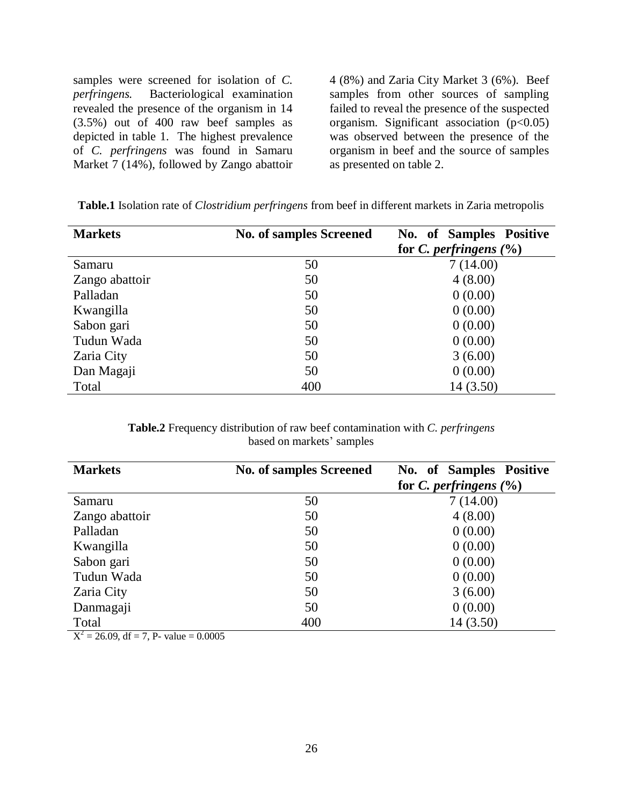samples were screened for isolation of *C. perfringens.* Bacteriological examination revealed the presence of the organism in 14 (3.5%) out of 400 raw beef samples as depicted in table 1. The highest prevalence of *C. perfringens* was found in Samaru Market 7 (14%), followed by Zango abattoir

4 (8%) and Zaria City Market 3 (6%). Beef samples from other sources of sampling failed to reveal the presence of the suspected organism. Significant association  $(p<0.05)$ was observed between the presence of the organism in beef and the source of samples as presented on table 2.

| <b>Markets</b> | <b>No. of samples Screened</b> | No. of Samples Positive    |  |  |
|----------------|--------------------------------|----------------------------|--|--|
|                |                                | for C. perfringens $(\% )$ |  |  |
| Samaru         | 50                             | 7(14.00)                   |  |  |
| Zango abattoir | 50                             | 4(8.00)                    |  |  |
| Palladan       | 50                             | 0(0.00)                    |  |  |
| Kwangilla      | 50                             | 0(0.00)                    |  |  |
| Sabon gari     | 50                             | 0(0.00)                    |  |  |
| Tudun Wada     | 50                             | 0(0.00)                    |  |  |
| Zaria City     | 50                             | 3(6.00)                    |  |  |
| Dan Magaji     | 50                             | 0(0.00)                    |  |  |
| Total          | 400                            | 14 (3.50)                  |  |  |

**Table.1** Isolation rate of *Clostridium perfringens* from beef in different markets in Zaria metropolis

**Table.2** Frequency distribution of raw beef contamination with *C. perfringens* based on markets' samples

| <b>Markets</b> | <b>No. of samples Screened</b> | No. of Samples Positive    |  |  |
|----------------|--------------------------------|----------------------------|--|--|
|                |                                | for C. perfringens $(\% )$ |  |  |
| Samaru         | 50                             | 7(14.00)                   |  |  |
| Zango abattoir | 50                             | 4(8.00)                    |  |  |
| Palladan       | 50                             | 0(0.00)                    |  |  |
| Kwangilla      | 50                             | 0(0.00)                    |  |  |
| Sabon gari     | 50                             | 0(0.00)                    |  |  |
| Tudun Wada     | 50                             | 0(0.00)                    |  |  |
| Zaria City     | 50                             | 3(6.00)                    |  |  |
| Danmagaji      | 50                             | 0(0.00)                    |  |  |
| Total          | 400                            | 14 (3.50)                  |  |  |

 $X^2 = 26.09$ , df = 7, P- value = 0.0005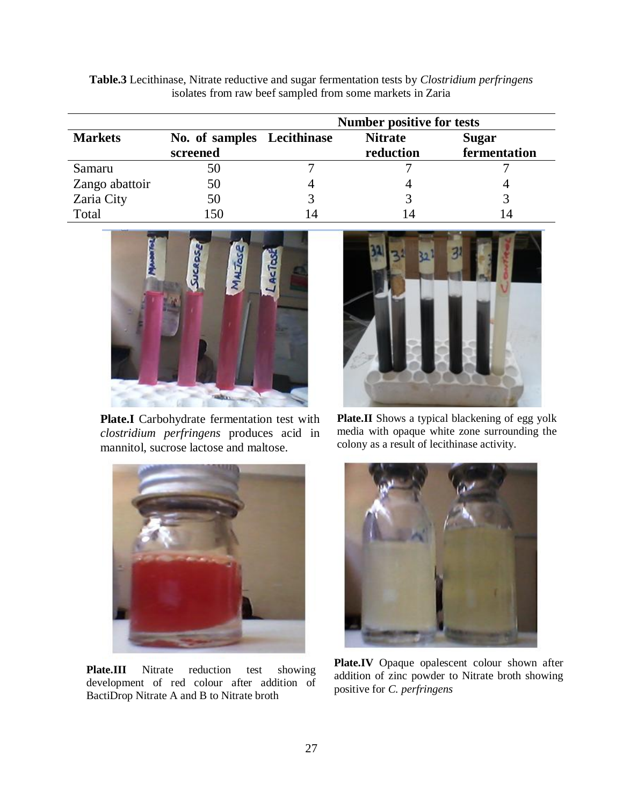**Table.3** Lecithinase, Nitrate reductive and sugar fermentation tests by *Clostridium perfringens* isolates from raw beef sampled from some markets in Zaria

|                |                                        | <b>Number positive for tests</b> |                             |                              |
|----------------|----------------------------------------|----------------------------------|-----------------------------|------------------------------|
| <b>Markets</b> | No. of samples Lecithinase<br>screened |                                  | <b>Nitrate</b><br>reduction | <b>Sugar</b><br>fermentation |
| Samaru         | 50                                     |                                  |                             |                              |
| Zango abattoir | 50                                     |                                  |                             |                              |
| Zaria City     | 50                                     |                                  |                             |                              |
| Total          | 150                                    |                                  | 4                           |                              |



**Plate.I** Carbohydrate fermentation test with *clostridium perfringens* produces acid in mannitol, sucrose lactose and maltose.



**Plate.III** Nitrate reduction test showing development of red colour after addition of BactiDrop Nitrate A and B to Nitrate broth



**Plate.II** Shows a typical blackening of egg yolk media with opaque white zone surrounding the colony as a result of lecithinase activity.



**Plate.IV** Opaque opalescent colour shown after addition of zinc powder to Nitrate broth showing positive for *C. perfringens*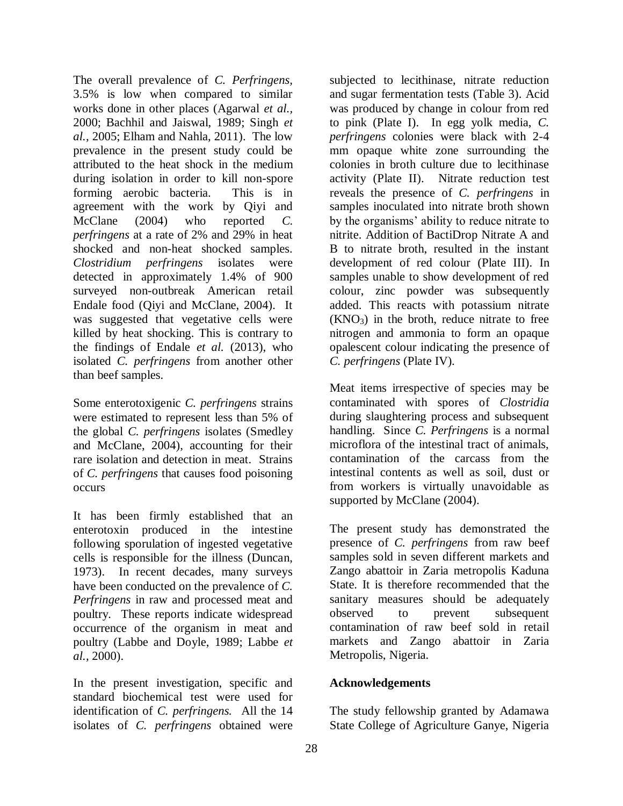The overall prevalence of *C. Perfringens,* 3.5% is low when compared to similar works done in other places (Agarwal *et al.,* 2000; Bachhil and Jaiswal, 1989; Singh *et al.,* 2005; Elham and Nahla, 2011). The low prevalence in the present study could be attributed to the heat shock in the medium during isolation in order to kill non-spore forming aerobic bacteria. This is in agreement with the work by Qiyi and McClane (2004) who reported *C. perfringens* at a rate of 2% and 29% in heat shocked and non-heat shocked samples. *Clostridium perfringens* isolates were detected in approximately 1.4% of 900 surveyed non-outbreak American retail Endale food (Qiyi and McClane, 2004). It was suggested that vegetative cells were killed by heat shocking. This is contrary to the findings of Endale *et al.* (2013), who isolated *C. perfringens* from another other than beef samples.

Some enterotoxigenic *C. perfringens* strains were estimated to represent less than 5% of the global *C. perfringens* isolates (Smedley and McClane, 2004), accounting for their rare isolation and detection in meat. Strains of *C. perfringens* that causes food poisoning occurs

It has been firmly established that an enterotoxin produced in the intestine following sporulation of ingested vegetative cells is responsible for the illness (Duncan, 1973). In recent decades, many surveys have been conducted on the prevalence of *C. Perfringens* in raw and processed meat and poultry. These reports indicate widespread occurrence of the organism in meat and poultry (Labbe and Doyle, 1989; Labbe *et al.,* 2000).

In the present investigation, specific and standard biochemical test were used for identification of *C. perfringens.* All the 14 isolates of *C. perfringens* obtained were subjected to lecithinase, nitrate reduction and sugar fermentation tests (Table 3). Acid was produced by change in colour from red to pink (Plate I). In egg yolk media, *C. perfringens* colonies were black with 2-4 mm opaque white zone surrounding the colonies in broth culture due to lecithinase activity (Plate II). Nitrate reduction test reveals the presence of *C. perfringens* in samples inoculated into nitrate broth shown by the organisms' ability to reduce nitrate to nitrite. Addition of BactiDrop Nitrate A and B to nitrate broth, resulted in the instant development of red colour (Plate III). In samples unable to show development of red colour, zinc powder was subsequently added. This reacts with potassium nitrate  $(KNO<sub>3</sub>)$  in the broth, reduce nitrate to free nitrogen and ammonia to form an opaque opalescent colour indicating the presence of *C. perfringens* (Plate IV).

Meat items irrespective of species may be contaminated with spores of *Clostridia* during slaughtering process and subsequent handling. Since *C. Perfringens* is a normal microflora of the intestinal tract of animals, contamination of the carcass from the intestinal contents as well as soil, dust or from workers is virtually unavoidable as supported by McClane (2004).

The present study has demonstrated the presence of *C. perfringens* from raw beef samples sold in seven different markets and Zango abattoir in Zaria metropolis Kaduna State. It is therefore recommended that the sanitary measures should be adequately observed to prevent subsequent contamination of raw beef sold in retail markets and Zango abattoir in Zaria Metropolis, Nigeria.

## **Acknowledgements**

The study fellowship granted by Adamawa State College of Agriculture Ganye, Nigeria